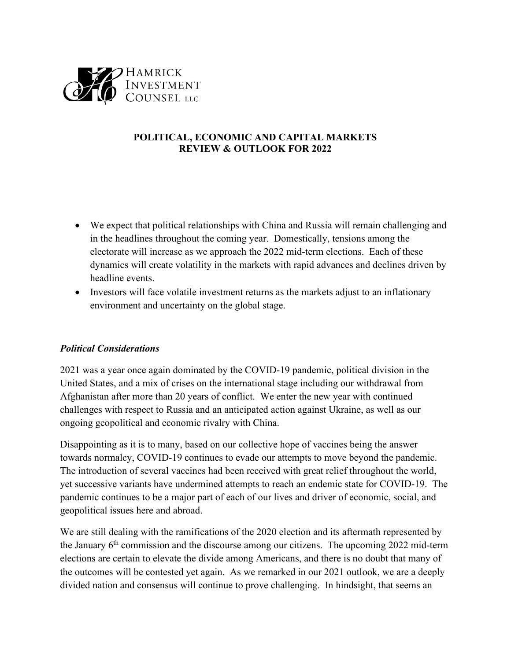

## **POLITICAL, ECONOMIC AND CAPITAL MARKETS REVIEW & OUTLOOK FOR 2022**

- We expect that political relationships with China and Russia will remain challenging and in the headlines throughout the coming year. Domestically, tensions among the electorate will increase as we approach the 2022 mid-term elections. Each of these dynamics will create volatility in the markets with rapid advances and declines driven by headline events.
- Investors will face volatile investment returns as the markets adjust to an inflationary environment and uncertainty on the global stage.

## *Political Considerations*

2021 was a year once again dominated by the COVID-19 pandemic, political division in the United States, and a mix of crises on the international stage including our withdrawal from Afghanistan after more than 20 years of conflict. We enter the new year with continued challenges with respect to Russia and an anticipated action against Ukraine, as well as our ongoing geopolitical and economic rivalry with China.

Disappointing as it is to many, based on our collective hope of vaccines being the answer towards normalcy, COVID-19 continues to evade our attempts to move beyond the pandemic. The introduction of several vaccines had been received with great relief throughout the world, yet successive variants have undermined attempts to reach an endemic state for COVID-19. The pandemic continues to be a major part of each of our lives and driver of economic, social, and geopolitical issues here and abroad.

We are still dealing with the ramifications of the 2020 election and its aftermath represented by the January  $6<sup>th</sup>$  commission and the discourse among our citizens. The upcoming 2022 mid-term elections are certain to elevate the divide among Americans, and there is no doubt that many of the outcomes will be contested yet again. As we remarked in our 2021 outlook, we are a deeply divided nation and consensus will continue to prove challenging. In hindsight, that seems an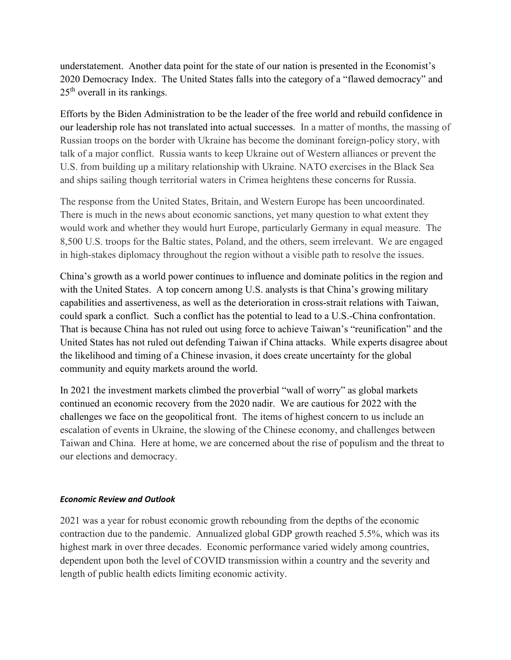understatement. Another data point for the state of our nation is presented in the Economist's 2020 Democracy Index. The United States falls into the category of a "flawed democracy" and 25<sup>th</sup> overall in its rankings.

Efforts by the Biden Administration to be the leader of the free world and rebuild confidence in our leadership role has not translated into actual successes. In a matter of months, the massing of Russian troops on the border with Ukraine has become the dominant foreign-policy story, with talk of a major conflict. Russia wants to keep Ukraine out of Western alliances or prevent the U.S. from building up a military relationship with Ukraine. NATO exercises in the Black Sea and ships sailing though territorial waters in Crimea heightens these concerns for Russia.

The response from the United States, Britain, and Western Europe has been uncoordinated. There is much in the news about economic sanctions, yet many question to what extent they would work and whether they would hurt Europe, particularly Germany in equal measure. The 8,500 U.S. troops for the Baltic states, Poland, and the others, seem irrelevant. We are engaged in high-stakes diplomacy throughout the region without a visible path to resolve the issues.

China's growth as a world power continues to influence and dominate politics in the region and with the United States. A top concern among U.S. analysts is that China's growing military capabilities and assertiveness, as well as the deterioration in cross-strait relations with Taiwan, could spark a conflict. Such a conflict has the potential to lead to a U.S.-China confrontation. That is because China has not ruled out using force to achieve Taiwan's "reunification" and the United States has not ruled out defending Taiwan if China attacks. While experts disagree about the likelihood and timing of a Chinese invasion, it does create uncertainty for the global community and equity markets around the world.

In 2021 the investment markets climbed the proverbial "wall of worry" as global markets continued an economic recovery from the 2020 nadir. We are cautious for 2022 with the challenges we face on the geopolitical front. The items of highest concern to us include an escalation of events in Ukraine, the slowing of the Chinese economy, and challenges between Taiwan and China. Here at home, we are concerned about the rise of populism and the threat to our elections and democracy.

## *Economic Review and Outlook*

2021 was a year for robust economic growth rebounding from the depths of the economic contraction due to the pandemic. Annualized global GDP growth reached 5.5%, which was its highest mark in over three decades. Economic performance varied widely among countries, dependent upon both the level of COVID transmission within a country and the severity and length of public health edicts limiting economic activity.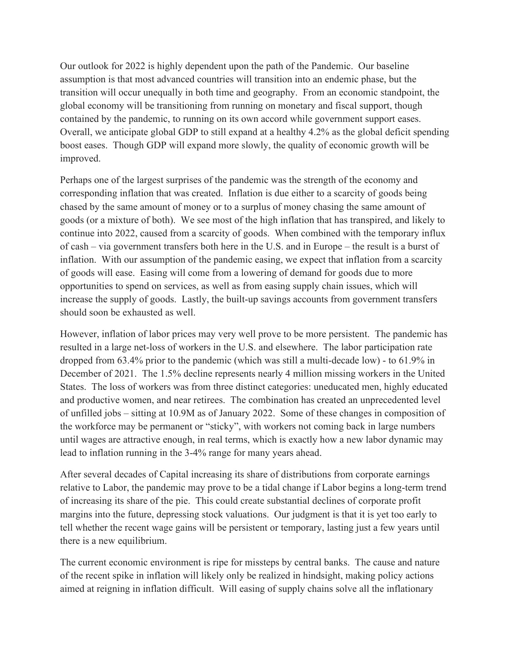Our outlook for 2022 is highly dependent upon the path of the Pandemic. Our baseline assumption is that most advanced countries will transition into an endemic phase, but the transition will occur unequally in both time and geography. From an economic standpoint, the global economy will be transitioning from running on monetary and fiscal support, though contained by the pandemic, to running on its own accord while government support eases. Overall, we anticipate global GDP to still expand at a healthy 4.2% as the global deficit spending boost eases. Though GDP will expand more slowly, the quality of economic growth will be improved.

Perhaps one of the largest surprises of the pandemic was the strength of the economy and corresponding inflation that was created. Inflation is due either to a scarcity of goods being chased by the same amount of money or to a surplus of money chasing the same amount of goods (or a mixture of both). We see most of the high inflation that has transpired, and likely to continue into 2022, caused from a scarcity of goods. When combined with the temporary influx of cash – via government transfers both here in the U.S. and in Europe – the result is a burst of inflation. With our assumption of the pandemic easing, we expect that inflation from a scarcity of goods will ease. Easing will come from a lowering of demand for goods due to more opportunities to spend on services, as well as from easing supply chain issues, which will increase the supply of goods. Lastly, the built-up savings accounts from government transfers should soon be exhausted as well.

However, inflation of labor prices may very well prove to be more persistent. The pandemic has resulted in a large net-loss of workers in the U.S. and elsewhere. The labor participation rate dropped from 63.4% prior to the pandemic (which was still a multi-decade low) - to 61.9% in December of 2021. The 1.5% decline represents nearly 4 million missing workers in the United States. The loss of workers was from three distinct categories: uneducated men, highly educated and productive women, and near retirees. The combination has created an unprecedented level of unfilled jobs – sitting at 10.9M as of January 2022. Some of these changes in composition of the workforce may be permanent or "sticky", with workers not coming back in large numbers until wages are attractive enough, in real terms, which is exactly how a new labor dynamic may lead to inflation running in the 3-4% range for many years ahead.

After several decades of Capital increasing its share of distributions from corporate earnings relative to Labor, the pandemic may prove to be a tidal change if Labor begins a long-term trend of increasing its share of the pie. This could create substantial declines of corporate profit margins into the future, depressing stock valuations. Our judgment is that it is yet too early to tell whether the recent wage gains will be persistent or temporary, lasting just a few years until there is a new equilibrium.

The current economic environment is ripe for missteps by central banks. The cause and nature of the recent spike in inflation will likely only be realized in hindsight, making policy actions aimed at reigning in inflation difficult. Will easing of supply chains solve all the inflationary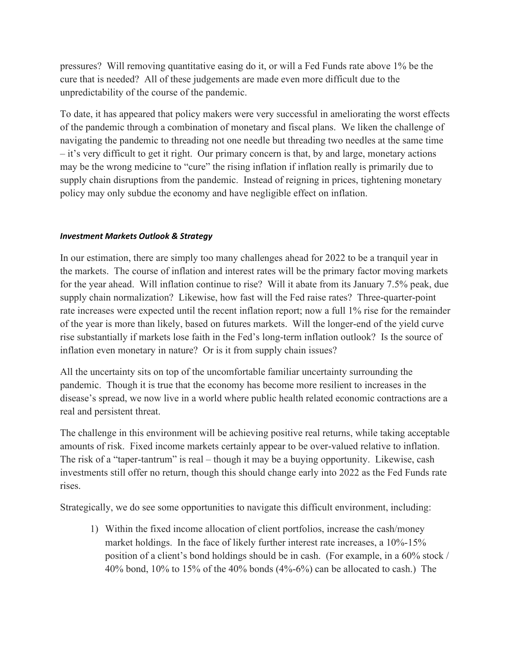pressures? Will removing quantitative easing do it, or will a Fed Funds rate above 1% be the cure that is needed? All of these judgements are made even more difficult due to the unpredictability of the course of the pandemic.

To date, it has appeared that policy makers were very successful in ameliorating the worst effects of the pandemic through a combination of monetary and fiscal plans. We liken the challenge of navigating the pandemic to threading not one needle but threading two needles at the same time – it's very difficult to get it right. Our primary concern is that, by and large, monetary actions may be the wrong medicine to "cure" the rising inflation if inflation really is primarily due to supply chain disruptions from the pandemic. Instead of reigning in prices, tightening monetary policy may only subdue the economy and have negligible effect on inflation.

## *Investment Markets Outlook & Strategy*

In our estimation, there are simply too many challenges ahead for 2022 to be a tranquil year in the markets. The course of inflation and interest rates will be the primary factor moving markets for the year ahead. Will inflation continue to rise? Will it abate from its January 7.5% peak, due supply chain normalization? Likewise, how fast will the Fed raise rates? Three-quarter-point rate increases were expected until the recent inflation report; now a full 1% rise for the remainder of the year is more than likely, based on futures markets. Will the longer-end of the yield curve rise substantially if markets lose faith in the Fed's long-term inflation outlook? Is the source of inflation even monetary in nature? Or is it from supply chain issues?

All the uncertainty sits on top of the uncomfortable familiar uncertainty surrounding the pandemic. Though it is true that the economy has become more resilient to increases in the disease's spread, we now live in a world where public health related economic contractions are a real and persistent threat.

The challenge in this environment will be achieving positive real returns, while taking acceptable amounts of risk. Fixed income markets certainly appear to be over-valued relative to inflation. The risk of a "taper-tantrum" is real – though it may be a buying opportunity. Likewise, cash investments still offer no return, though this should change early into 2022 as the Fed Funds rate rises.

Strategically, we do see some opportunities to navigate this difficult environment, including:

1) Within the fixed income allocation of client portfolios, increase the cash/money market holdings. In the face of likely further interest rate increases, a 10%-15% position of a client's bond holdings should be in cash. (For example, in a 60% stock / 40% bond, 10% to 15% of the 40% bonds (4%-6%) can be allocated to cash.) The